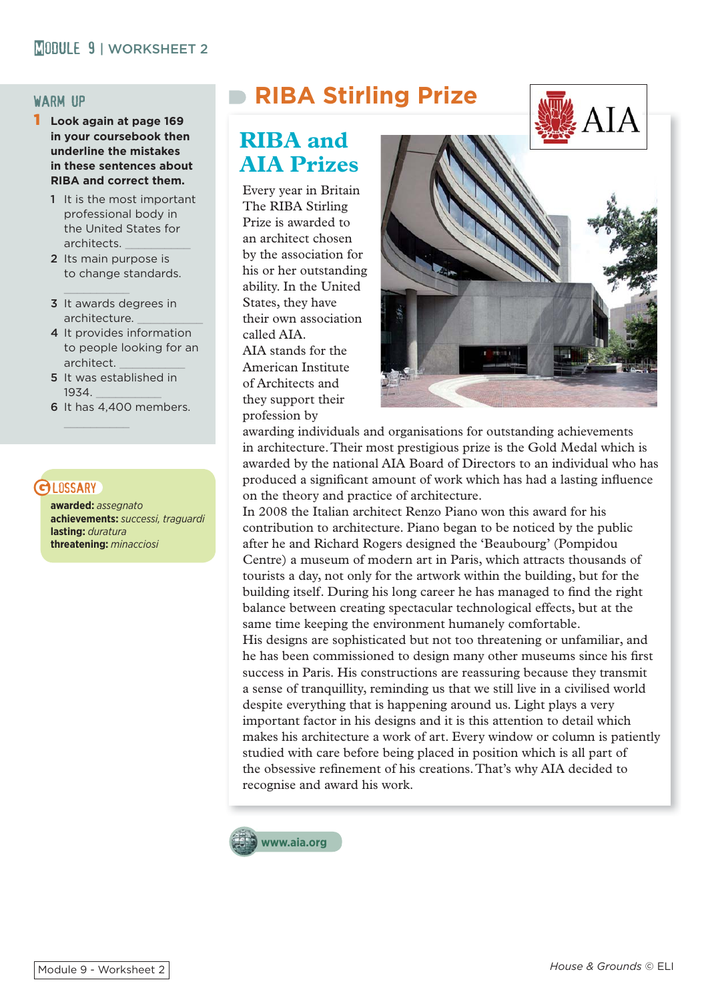#### warm up

- 1 **Look again at page 169 in your coursebook then underline the mistakes in these sentences about RIBA and correct them.** 
	- 1 It is the most important professional body in the United States for architects. \_\_\_\_\_\_\_\_\_\_
	- 2 Its main purpose is to change standards.
	- 3 It awards degrees in architecture.
	- 4 It provides information to people looking for an architect.
	- 5 It was established in 1934. \_\_\_\_\_\_\_\_\_\_
	- 6 It has 4,400 members.

### **GLOSSARY**

**awarded:** *assegnato* **achievements:** *successi, traguardi* **lasting:** *duratura* **threatening:** *minacciosi*

# **RIBA Stirling Prize**

## **RIBA and AIA Prizes**

Every year in Britain The RIBA Stirling Prize is awarded to an architect chosen by the association for his or her outstanding ability. In the United States, they have their own association called AIA. AIA stands for the American Institute of Architects and they support their profession by



awarding individuals and organisations for outstanding achievements in architecture. Their most prestigious prize is the Gold Medal which is awarded by the national AIA Board of Directors to an individual who has produced a significant amount of work which has had a lasting influence on the theory and practice of architecture.

In 2008 the Italian architect Renzo Piano won this award for his contribution to architecture. Piano began to be noticed by the public after he and Richard Rogers designed the 'Beaubourg' (Pompidou Centre) a museum of modern art in Paris, which attracts thousands of tourists a day, not only for the artwork within the building, but for the building itself. During his long career he has managed to find the right balance between creating spectacular technological effects, but at the same time keeping the environment humanely comfortable. His designs are sophisticated but not too threatening or unfamiliar, and he has been commissioned to design many other museums since his first success in Paris. His constructions are reassuring because they transmit a sense of tranquillity, reminding us that we still live in a civilised world despite everything that is happening around us. Light plays a very important factor in his designs and it is this attention to detail which makes his architecture a work of art. Every window or column is patiently studied with care before being placed in position which is all part of the obsessive refinement of his creations. That's why AIA decided to recognise and award his work.